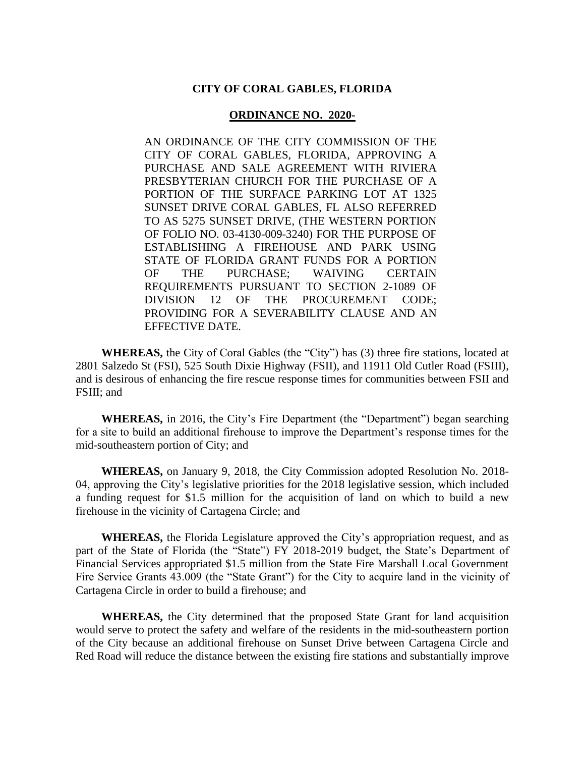#### **CITY OF CORAL GABLES, FLORIDA**

#### **ORDINANCE NO. 2020-**

AN ORDINANCE OF THE CITY COMMISSION OF THE CITY OF CORAL GABLES, FLORIDA, APPROVING A PURCHASE AND SALE AGREEMENT WITH RIVIERA PRESBYTERIAN CHURCH FOR THE PURCHASE OF A PORTION OF THE SURFACE PARKING LOT AT 1325 SUNSET DRIVE CORAL GABLES, FL ALSO REFERRED TO AS 5275 SUNSET DRIVE, (THE WESTERN PORTION OF FOLIO NO. 03-4130-009-3240) FOR THE PURPOSE OF ESTABLISHING A FIREHOUSE AND PARK USING STATE OF FLORIDA GRANT FUNDS FOR A PORTION OF THE PURCHASE; WAIVING CERTAIN REQUIREMENTS PURSUANT TO SECTION 2-1089 OF DIVISION 12 OF THE PROCUREMENT CODE; PROVIDING FOR A SEVERABILITY CLAUSE AND AN EFFECTIVE DATE.

**WHEREAS,** the City of Coral Gables (the "City") has (3) three fire stations, located at 2801 Salzedo St (FSI), 525 South Dixie Highway (FSII), and 11911 Old Cutler Road (FSIII), and is desirous of enhancing the fire rescue response times for communities between FSII and FSIII; and

**WHEREAS,** in 2016, the City's Fire Department (the "Department") began searching for a site to build an additional firehouse to improve the Department's response times for the mid-southeastern portion of City; and

**WHEREAS,** on January 9, 2018, the City Commission adopted Resolution No. 2018- 04, approving the City's legislative priorities for the 2018 legislative session, which included a funding request for \$1.5 million for the acquisition of land on which to build a new firehouse in the vicinity of Cartagena Circle; and

**WHEREAS,** the Florida Legislature approved the City's appropriation request, and as part of the State of Florida (the "State") FY 2018-2019 budget, the State's Department of Financial Services appropriated \$1.5 million from the State Fire Marshall Local Government Fire Service Grants 43.009 (the "State Grant") for the City to acquire land in the vicinity of Cartagena Circle in order to build a firehouse; and

**WHEREAS,** the City determined that the proposed State Grant for land acquisition would serve to protect the safety and welfare of the residents in the mid-southeastern portion of the City because an additional firehouse on Sunset Drive between Cartagena Circle and Red Road will reduce the distance between the existing fire stations and substantially improve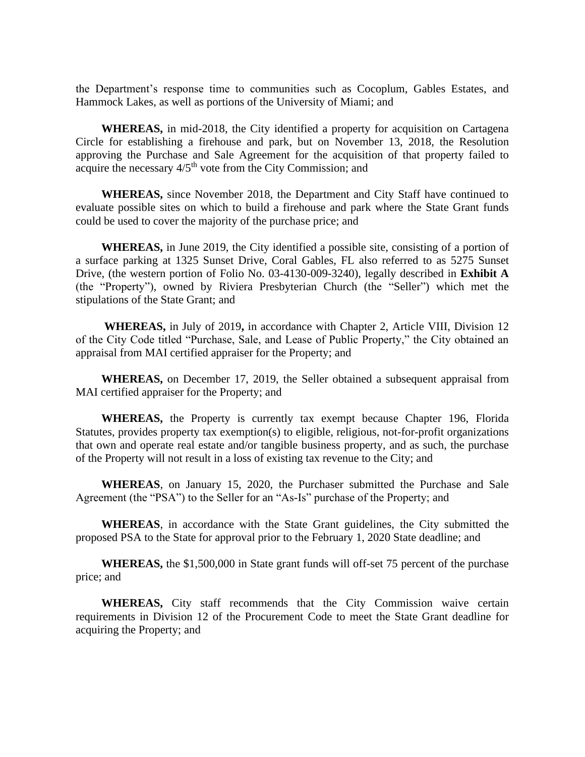the Department's response time to communities such as Cocoplum, Gables Estates, and Hammock Lakes, as well as portions of the University of Miami; and

**WHEREAS,** in mid-2018, the City identified a property for acquisition on Cartagena Circle for establishing a firehouse and park, but on November 13, 2018, the Resolution approving the Purchase and Sale Agreement for the acquisition of that property failed to acquire the necessary  $4/5<sup>th</sup>$  vote from the City Commission; and

**WHEREAS,** since November 2018, the Department and City Staff have continued to evaluate possible sites on which to build a firehouse and park where the State Grant funds could be used to cover the majority of the purchase price; and

**WHEREAS,** in June 2019, the City identified a possible site, consisting of a portion of a surface parking at 1325 Sunset Drive, Coral Gables, FL also referred to as 5275 Sunset Drive, (the western portion of Folio No. 03-4130-009-3240), legally described in **Exhibit A** (the "Property"), owned by Riviera Presbyterian Church (the "Seller") which met the stipulations of the State Grant; and

**WHEREAS,** in July of 2019**,** in accordance with Chapter 2, Article VIII, Division 12 of the City Code titled "Purchase, Sale, and Lease of Public Property," the City obtained an appraisal from MAI certified appraiser for the Property; and

**WHEREAS,** on December 17, 2019, the Seller obtained a subsequent appraisal from MAI certified appraiser for the Property; and

**WHEREAS,** the Property is currently tax exempt because Chapter 196, Florida Statutes, provides property tax exemption(s) to eligible, religious, not-for-profit organizations that own and operate real estate and/or tangible business property, and as such, the purchase of the Property will not result in a loss of existing tax revenue to the City; and

**WHEREAS**, on January 15, 2020, the Purchaser submitted the Purchase and Sale Agreement (the "PSA") to the Seller for an "As-Is" purchase of the Property; and

**WHEREAS**, in accordance with the State Grant guidelines, the City submitted the proposed PSA to the State for approval prior to the February 1, 2020 State deadline; and

**WHEREAS,** the \$1,500,000 in State grant funds will off-set 75 percent of the purchase price; and

**WHEREAS,** City staff recommends that the City Commission waive certain requirements in Division 12 of the Procurement Code to meet the State Grant deadline for acquiring the Property; and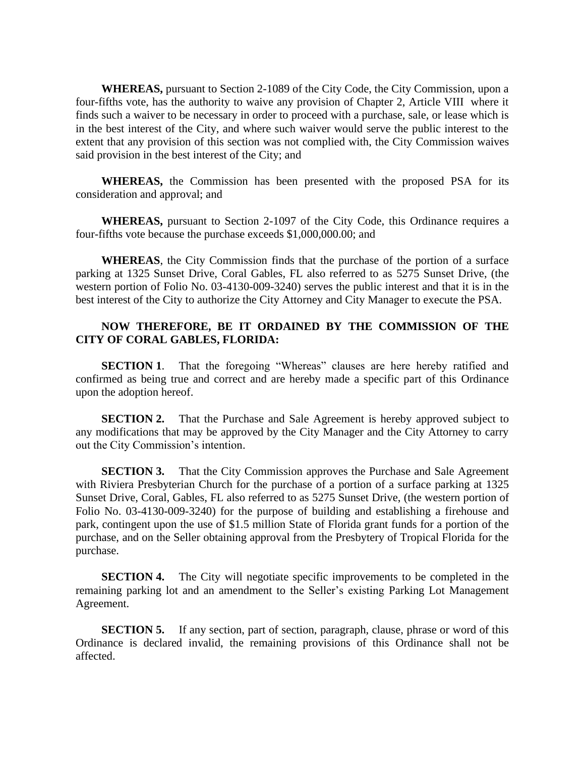**WHEREAS,** pursuant to Section 2-1089 of the City Code, the City Commission, upon a four-fifths vote, has the authority to waive any provision of Chapter 2, Article VIII where it finds such a waiver to be necessary in order to proceed with a purchase, sale, or lease which is in the best interest of the City, and where such waiver would serve the public interest to the extent that any provision of this section was not complied with, the City Commission waives said provision in the best interest of the City; and

**WHEREAS,** the Commission has been presented with the proposed PSA for its consideration and approval; and

**WHEREAS,** pursuant to Section 2-1097 of the City Code, this Ordinance requires a four-fifths vote because the purchase exceeds \$1,000,000.00; and

**WHEREAS**, the City Commission finds that the purchase of the portion of a surface parking at 1325 Sunset Drive, Coral Gables, FL also referred to as 5275 Sunset Drive, (the western portion of Folio No. 03-4130-009-3240) serves the public interest and that it is in the best interest of the City to authorize the City Attorney and City Manager to execute the PSA.

### **NOW THEREFORE, BE IT ORDAINED BY THE COMMISSION OF THE CITY OF CORAL GABLES, FLORIDA:**

**SECTION 1.** That the foregoing "Whereas" clauses are here hereby ratified and confirmed as being true and correct and are hereby made a specific part of this Ordinance upon the adoption hereof.

**SECTION 2.** That the Purchase and Sale Agreement is hereby approved subject to any modifications that may be approved by the City Manager and the City Attorney to carry out the City Commission's intention.

**SECTION 3.** That the City Commission approves the Purchase and Sale Agreement with Riviera Presbyterian Church for the purchase of a portion of a surface parking at 1325 Sunset Drive, Coral, Gables, FL also referred to as 5275 Sunset Drive, (the western portion of Folio No. 03-4130-009-3240) for the purpose of building and establishing a firehouse and park, contingent upon the use of \$1.5 million State of Florida grant funds for a portion of the purchase, and on the Seller obtaining approval from the Presbytery of Tropical Florida for the purchase.

**SECTION 4.** The City will negotiate specific improvements to be completed in the remaining parking lot and an amendment to the Seller's existing Parking Lot Management Agreement.

**SECTION 5.** If any section, part of section, paragraph, clause, phrase or word of this Ordinance is declared invalid, the remaining provisions of this Ordinance shall not be affected.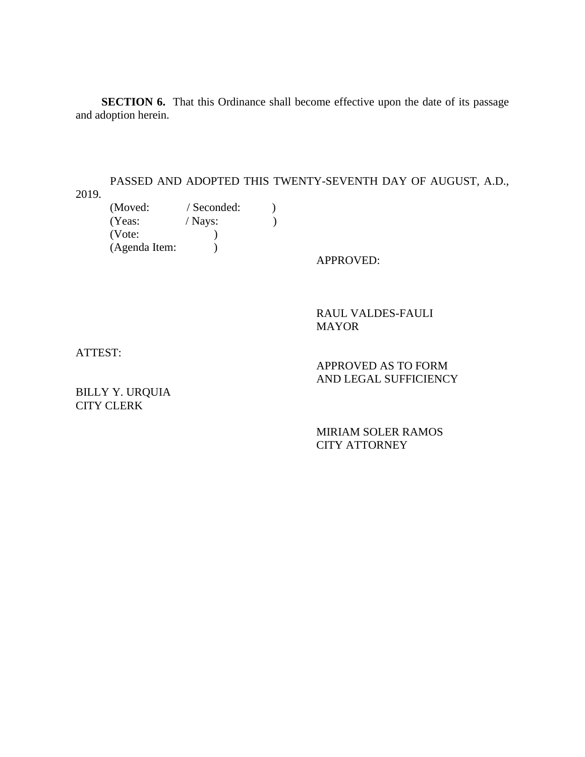**SECTION 6.** That this Ordinance shall become effective upon the date of its passage and adoption herein.

PASSED AND ADOPTED THIS TWENTY-SEVENTH DAY OF AUGUST, A.D.,

2019.

(Moved: / Seconded: )  $(Yeas: / Nays: )$  (Vote: ) (Agenda Item: )

APPROVED:

RAUL VALDES-FAULI MAYOR

ATTEST:

BILLY Y. URQUIA CITY CLERK

AND LEGAL SUFFICIENCY

APPROVED AS TO FORM

MIRIAM SOLER RAMOS CITY ATTORNEY